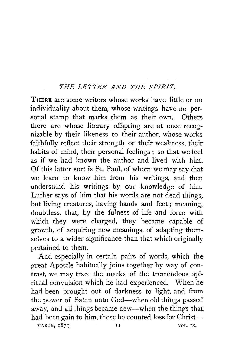## *THE LETTER AND THE SPIRIT.*

THERE are some writers whose works have little or no individuality about them, whose writings have no personal stamp that marks them as their own. Others there are whose literary offspring are at once recognizable by their likeness to their author, whose works faithfully reflect their strength or their weakness, their habits of mind, their personal feelings ; so that we feel as if we had known the author and lived with him. Of this latter sort is St. Paul, of whom we may say that we learn to know him from his writings, and then understand his writings by our knowledge of him. Luther says of him that his words are not dead things, but living creatures, having hands and feet ; meaning, doubtless, that, by the fulness of life and force with which they were charged, they became capable of growth, of acquiring new meanings, of adapting themselves to a wider significance than that which originally pertained to them.

And especially in certain pairs of words, which the great Apostle habitually joins together by way of contrast, we may trace the marks of the tremendous spiritual convulsion which he had experienced. When he had been brought out of darkness to light, and from the power of Satan unto God—when old things passed away, and all things became new--when the things that had been gain to him, those he counted loss for Christ-- $\text{MARCH}, \quad 1879.$  II VOL. IX.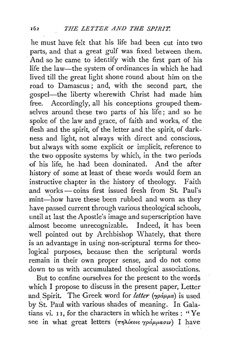he must have felt that his life had been cut into two parts, and that a great gulf was fixed between them. And so he came to identify with the first part of his life the law-the system of ordinances in which he had lived till the great light shone round about him on the road to Damascus; and, with the second part, the gospel-the liberty wherewith Christ had made him free. Accordingly, all his conceptions grouped themselves around these two parts of his life ; and so he spoke of the law and grace, of faith and works, of the flesh and the spirit, of the letter and the spirit, of darkness and light, not always with direct and conscious, but always with some explicit or implicit, reference to the two opposite systems by which, in the two periods of his life, he had been dominated. And the after history of some at least of these words would form an instructive chapter in the history of theology. Faith and works- coins first issued fresh from St. Paul's mint—how have these been rubbed and worn as they have passed current through various theological schools, until at last the Apostle's image and superscription have almost become unrecognizable. Indeed, it has been well pointed out by Archbishop Whately, that there is an advantage in using non-scriptural terms for theological purposes, because then the scriptural words remain in their own proper sense, and do not come down to us with accumulated theological associations.

But to confine ourselves for the present to the words which I propose to discuss in the present paper, Letter and Spirit. The Greek word for *letter* ( $\gamma p \dot{a} \mu \mu a$ ) is used by St. Paul with various shades of meaning. In Galatians vi. I I, for the characters in which he writes : ''Ye see in what great letters  $(\pi \eta \lambda \text{ k} \omega s \gamma \rho \dot{\alpha} \mu \mu \alpha \sigma \omega)$  I have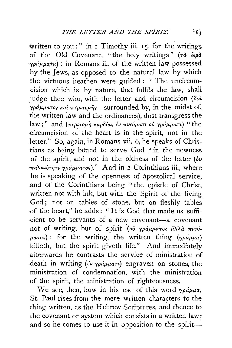written to you : " in 2 Timothy iii. 15, for the writings of the Old Covenant, "the holy writings" *(nt- lepa*   $\gamma \rho \alpha' \mu \mu \alpha \tau a$ ) : in Romans ii., of the written law possessed by the Jews, as opposed to the natural law by which the virtuous heathen were guided : "The uncircum-.cision which is by nature, that fulfils the law, shall judge thee who, with the letter and circumcision ( $\delta u$ )  $\gamma \rho \dot{a} \mu \mu a \tau$ os *kal*  $\pi \epsilon \rho \tau \sigma \mu \hat{\eta} s$ —surrounded by, in the midst of, the written law and the ordinances), dost transgress the law;" and (περιτομή καρδίας έν πνεύματι ού γράμματι) "the circumcision of the heart is in the spirit, not in the letter." So, again, in Romans vii. 6, he speaks of Christians as being bound to serve God " in the newness of the spirit, and not in the oldness of the letter *(ou παλαιότητι γράμματος*)." And in 2 Corinthians iii., where he is speaking of the openness of apostolical service, and of the Corinthians being "the epistle of Christ, written not with ink, but with the Spirit of the living God; not on tables of stone, but on fleshly tables of the heart," he adds : " It is God that made us sufficient to be servants of a new covenant-a covenant not of writing, but of spirit (ού γράμματος άλλα πνεύ- $\mu a \tau o s$ : for the writing, the written thing ( $\gamma \rho \dot{a} \mu \mu a$ ) killeth, but the spirit giveth life." And immediately afterwards he contrasts the service of ministration of death in writing  $\left(\frac{2}{r}\right)\gamma_0 \Delta \mu \mu a \tau \nu$  engraven on stones, the ministration of condemnation, with the ministration of the spirit, the ministration of righteousness.

We see, then, how in his use of this word  $\gamma \rho d\mu \mu a$ , St. Paul rises from the mere written characters to the thing written, as the Hebrew Scriptures, and thence to the covenant or system which consists in a written law; and so he comes to use it in opposition to the spirit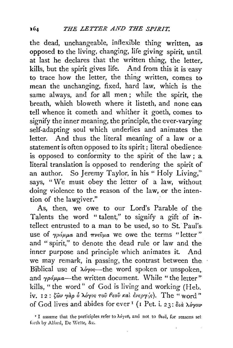the dead, unchangeable, inflexible thing written, as opposed to the living, changing, life giving spirit, until at last he declares that the written thing, the letter,. kills, but the spirit gives life. And from this it is easy to trace how the letter, the thing written, comes to mean the unchanging, fixed, hard law, which is the same always, and for all men; while the spirit, the breath, which bloweth where it listeth, and none can tell whence it cometh and whither it goeth, comes to signify the inner meaning, the principle, the ever-varying self-adapting soul which underlies and animates the. letter. And thus the literal meaning of a law or a statement is often opposed to its spirit; literal obedience is opposed to conformity to the spirit of the law; a literal translation is opposed to rendering the spirit of an author. So Jeremy Taylor, in his "Holy Living," says, "We must obey the letter of a law, without doing violence to the reason of the law, or the intention of the lawgiver."

As, then, we owe to our Lord's Parable of the Talents the word " talent," to signify a gift of intellect entrusted to a man to be used, so to St. Paul's. use of  $\gamma\rho\acute{a}\mu\mu a$  and  $\pi\nu\epsilon\hat{\nu}\mu a$  we owe the terms "letter" and "spirit," to denote the dead rule or law and the inner purpose and principle which animates it. And we may remark, in passing, the contrast between the Biblical use of  $\lambda$ oyos—the word spoken or unspoken, and  $\gamma \rho \acute{a} \mu \mu \acute{a}$ —the written document. While "the letter" kills, "the word" of God is living and working (Heb. iv. 12:  $\zeta \hat{\omega} \nu$   $\gamma \hat{\alpha} \rho$   $\delta$   $\lambda \acute{\sigma} \gamma \circ \varsigma$  *του θεου και ένερ*  $\gamma$ / $\varsigma$ ). The "word" of God lives and abides for ever<sup>1</sup> (1 Pet. i. 23:  $\delta u \partial \phi$   $\lambda \dot{\phi}$ <sup>vo</sup>

<sup>I</sup> I assume that the participles refer to  $\lambda \phi \gamma \delta \theta$ , and not to  $\theta \epsilon \delta \tilde{\nu}$ , for reasons set forth by Alford, De Wette, &c.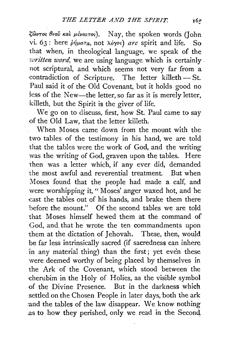$\zeta$ ωντος θεοῦ καὶ μένοντος). Nay, the spoken words (John vi. 63: here  $\dot{\rho}\dot{\eta}\mu a\tau a$ , not  $\lambda\dot{\theta}\gamma\dot{\theta}s$  are spirit and life. So that when, in theological language, we speak of the written word, we are using language which is certainly. not scriptural, and which seems not very far from a contradiction of Scripture. The letter killeth- St. Paul said it of the Old Covenant, but it holds good no iess of the New-the letter, so far as it is merely letter, killeth, but the Spirit is the giver of life.

We go on to discuss, first, how St. Paul came to say of the Old Law, that the letter killeth.

When Moses came down from the mount with the two tables of the testimony in his hand, we are told that the tables were the work of God, and the writing was the writing of God, graven upon the tables. Here then was a letter which, if any ever did, demanded the most awful and reverential treatment. But when Moses found that the people had made a calf, and were worshipping it, " Moses' anger waxed hot, and he -cast the tables out of his hands, and brake them there before the mount." Of the second tables we are told that Moses himself hewed them at the command of God, and. that he wrote the ten commandments upon them at the dictation of Jehovah. These, then, would be far less intrinsically sacred (if sacredness can inhere in any material thing) than the first; yet even these were deemed worthy of being placed by themselves in the Ark of the Covenant, which stood between the ·cherubim in the Holy of Holies, as the visible symbol of the Divine Presence. But in the darkness which settled on the Chosen People in later days, both the ark -and the tables of the law disappear. We know nothing .as to how they perished, only we read in the Second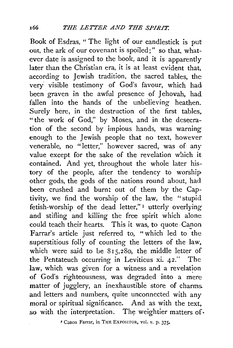Book of Esdras, " The light of our candlestick is put our, the ark of our covenant is spoiled;" so that, whatever date is assigned to the book, and it is apparently later than the Christian era, it is at least evident that, according to Jewish tradition, the sacred tables, the· very visible testimony of God's favour, which had been graven in the awful presence of Jehovah, had fallen into the hands of the unbelieving heathen. Surely here, in the destruction of the first tables. "the work of God," by Moses, and in the desecration of the second by impious hands, was warning enough to the Jewish people that no text, however venerable, no "letter," however sacred, was of any value except for the sake of the revelation which it contained. And yet, throughout the whole later history of the people, after the tendency to worshipother gods, the gods of the nations round about, had been crushed and burnt out of them by the Cap-· tivity, we find the worship of the law, the "stupid fetish-worship of the dead letter," 1 utterly overlying and stifling and killing the free spirit which alone could teach their hearts. This it was, to quote Canon Farrar's article just referred to, "which led to the superstitious folly of counting the letters of the law. which were said to be  $815,280$ , the middle letter of the Pehtateuch occurring in Leviticus xi. 42." The law, which was given for a witness and a revelation of God's righteousness, was degraded into a mere matter of jugglery, an inexhaustible store of charms.. and letters and numbers, quite unconnected with any moral or spiritual significance. And as with the text. so with the interpretation. The weightier matters of  $\cdot$ 

~ C:,non Farrar, in. THE EXPOSITOR, vol. v. p. 375•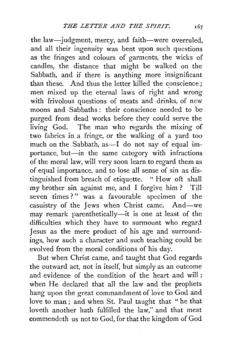the law-judgment, mercy, and faith-were overruled, and all their ingenuity was bent upon such questions as the fringes and colours of garments, the wicks of candles, the distance that might be walked on the Sabbath, and if there is anything more insignificant than these. And thus the letter killed the conscience; men mixed up the eternal laws of right and wrong with frivolous questions of meats and drinks, of new moons and ·Sabbaths: their conscience needed to be purged from dead works before they could serve the living God. The man who regards the mixing of two fabrics in a fringe, or the walking of a yard too much on the Sabbath, as—I do not say of equal importance, but-in the same category with infractions of the moral law, will very soon learn to regard them as of equal importance, and to lose all sense of sin as distinguished from breach of etiquette. "How oft shall my brother sin against me, and I forgive him ? Till seven times?" was a favourable specimen of the casuistry of the Jews when Christ came. And--we may remark parenthetically-it is one at least of the difficulties which they have to surmount who regard. Jesus as the mere product of his age and surroundings, how such a character and such teaching could be evolved from the moral conditions of his day.

But when Christ came, and taught that God regards the outward act, not in itself, but simply as an outcome and evidence of the condition of the heart and will ; when He declared that all the law and the prophets hang upon the great commandment of love to God and love to man; and when St. Paul taught that "he that loveth another hath fulfilled the law," and that meat commendeth us not to God, for that the kingdom of God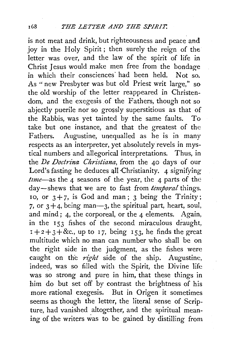is not meat and drink, but righteousness and peace and joy in the Holy Spirit; then surely the reign of the letter was over, and the law of the spirit of life in Christ Jesus would make men free from the bondage in which their consciences had been held. Not so. As " new Presbyter was but old Priest writ large," so the old worship of the letter reappeared in Christendom, and the exegesis of the Fathers, though not so abjectly puerile nor so grossly superstitious as that of the Rabbis, was yet tainted by the same faults. To take but one instance, and that the greatest of the Fathers. Augustine, unequalled as he is in many respects as an interpreter, yet absolutely revels in mystical numbers and allegorical interpretations. Thus, in the *De Doctrina Christiana,* from the 40 days of our Lord's fasting he deduces all Christianity.  $4$  signifying *tznze-as* the 4 seasons of the year, the 4 parts of the day-shews that we are to fast from *temporal* things. 10, or  $3 + 7$ , is God and man; 3 being the Trinity; 7, or  $3 + 4$ , being man-3, the spiritual part, heart, soul, and mind; 4, the corporeal, or the 4 elements. Again, in the 153 fishes of the second miraculous draught,  $x+2+3+8c$ , up to 17, being 153, he finds the great multitude which no man can number who shall be on the right side in the judgment, as the fishes were caught on the *nght* side of the ship. Augustine, indeed, was so filled with the Spirit, the Divine life was so strong and pure in him, that these things in him do but set off by contrast the brightness of his more rational exegesis. But in Origen it sometimes seems as though the letter, the literal sense of Scripture, had vanished altogether, and the spiritual meaning of the writers was to be gained by distilling from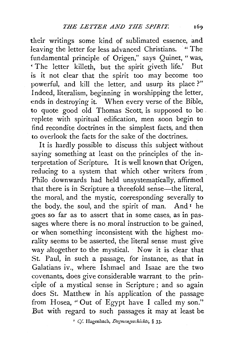their writings some kind of sublimated essence, and leaving the letter for less advanced Christians. "The fundamental principle of Origen," says Quinet, "was, ' The letter killeth, but the spirit giveth life.' But is it not clear that the spirit too may become too powerful, and kill the letter, and usurp its place ?" Indeed, literalism, beginning in worshipping the letter, ends in destroying it. When every verse of the Bible, to quote good old Thomas Scott, is supposed to be. replete with spiritual edification, men soon begin to find recondite doctrines in the simplest facts, and then to overlook the facts for the sake of the doctrines.

It is hardly possible to discuss this subject without saying something at least on the principles of the interpretation of Scripture. It is well known that Origen, reducing to a system that which other writers from Philo downwards had held unsystematically, affirmed that there is in Scripture a threefold sense-the literal. the moral, and the mystic, corresponding severally to the body, the soul, and the spirit of man. And  $I$  he goes so far as to assert that in some cases, as in passages where there is no moral instruction to be gained, or when something inconsistent with the highest morality seems to be asserted, the literal sense must give way altogether to the mystical. Now it is clear that St. Paul, in such a passage, for instance, as that in Galatians iv., where Ishmael and Isaac are the two covenants, does give considerable warrant to the prin--ciple of a mystical sense in Scripture ; and so again does St. Matthew in his application of the passage from Hosea, "Out of Egypt have I called my son." But with regard to such passages it may at least be

' *Cf.* Hagenbach, *Dogmengeschichte,* § 33·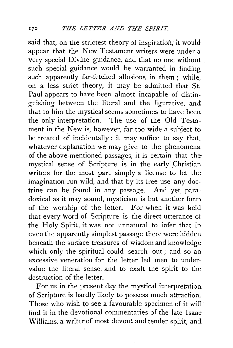said that, on the strictest theory of inspiration, it would appear that the New Testament writers were under a very special Divine guidance, and that no one without such special guidance would be warranted in finding such apparently far-fetched allusions in them; while, on a less strict theory, it may be admitted that St.. Paul appears to have been almost incapable of distinguishing between the literal and the figurative, and that to him the mystical seems sometimes to have been. the only interpretation. The use of the Old Testament in the New is, however, far too wide a subject to be treated of incidentally : it may suffice to say that, whatever explanation we may give to the phenomena of the above-mentioned passages, it is certain that the mystical sense of Scripture is in the early Christian writers for the most part simply a license to let the imagination run wild, and that by its free use any doctrine can be found in any passage. And yet, paradoxical as it may sound, mysticism is but another form of the worship of the letter. For when it was held that every word of Scripture is the direct utterance of the Holy Spirit, it was not unnatural to infer that in even the apparently simplest passage there were hidden beneath the surface treasures of wisdom and knowledge which only the spiritual could search out; and so an excessive veneration for the letter led men to undervalue the literal sense, and to exalt the spirit to the destruction of the letter.

For us in the present day the mystical interpretation of Scripture is hardly likely to possess much attraction. · Those who wish to see a favourable specimen of it will find it in the devotional commentaries of the late Isaac Williams, a writer of most devout and tender spirit, and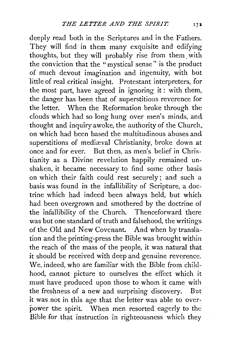deeply read both in the Scriptures and in the Fathers. They will find in them many exquisite and edifying thoughts, but they will probably rise from them. with the conviction that the "mystical sense" is the product of much devout imagination and ingenuity, with but little of real critical insight. Protestant interpreters, for the most part, have agreed in ignoring it : with them, the danger has been that of superstitious reverence for the letter. When the Reformation broke through the clouds which had so long hung over men's minds, and thought and inquiry awoke, the authority of the Church,. on which had been based the multitudinous abuses and superstitions of mediæval Christianity, broke down at once and for ever. But then, as men's belief in Christianity as a Divine revelation happily remained unshaken, it became necessary to find some other basis on which their faith could rest securely; and such a basis was found in the infallibility of Scripture, a doctrine which had indeed been always held, but which had been overgrown and smothered by the doctrine of the infallibility of the Church. Thenceforward there was but one standard of truth and falsehood, the writings. of the Old and New Covenant. And when by translation and the printing-press the Bible was brought within the reach of the mass of the people, it was natural that it should be received with deep and genuine reverence. We, indeed, who are familiar with the Bible from childhood, cannot picture to ourselves the effect which it must have produced upon those to whom it came with the freshness of a new and surprising discovery. But it was not in this age that the letter was able to overpower the spirit. When men resorted eagerly to the Bible for that instruction in righteousness which they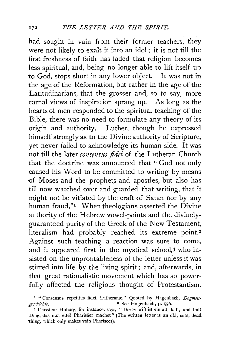had sought in vain from their former teachers, they were not likely to exalt it into an idol; it is not till the first freshness of faith has faded that religion becomes less spiritual, and, being no longer able to lift itself up to God, stops short in any lower object. It was not in the age of the Reformation, but rather in the age of the Latitudinarians, that the grosser and, so to say, more carnal views of inspiration sprang up. As long as the hearts of men responded to the spiritual teaching of the Bible, there was no need to formulate any theory of its origin. and authority. Luther, though he expressed himself strongly as to the Divine authority of Scripture, yet never failed to acknowledge its human side. It was not till the later *consensus fidei* of the Lutheran Church that the doctrine was announced that " God not only caused his Word to be committed to writing by means of Moses and the prophets and apostles, but also has till now watched over and guarded that writing, that it might not be vitiated by the craft of Satan nor by any human fraud."<sup>1</sup> When theologians asserted the Divine authority of the Hebrew vowel-points and the divinelyguaranteed purity of the Greek of the New Testament, literalism had probably reached its extreme point.<sup>2</sup> Against such teaching a reaction was sure to come, and it appeared first in the mystical school,3 who insisted on the unprofitableness of the letter unless it was stirred into life by the living spirit; and, afterwards, in that great rationalistic movement which has so powerfully affected the religious thought of Protestantism.

<sup>&</sup>lt;sup>1</sup> "Consensus repetitus fidei Lutheranæ." Quoted by Hagenbach, Degmen*geschichte.* " See Hagenbach, p. 556.

<sup>3</sup> Christian Hoburg, for instance, says, " Die Schrift ist ein all, kalt, und todt Ding, das nun eitel Pharisaer machet" (The written letter is an old, cold, dead 'thing, which only makes vain Pharisees).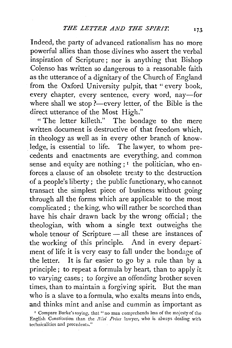Indeed, the party of advanced rationalism has no more powerful allies than those divines who assert the verbal inspiration of Scripture; nor is anything that Bishop Colenso has written so dangerous to a reasonable faith as the utterance of a dignitary of the Church of England from the Oxford University pulpit, that " every book, every chapter, every sentence, every word, nay-for where shall we stop ?- every letter, of the Bible is the direct utterance of the Most High."

" The letter killeth." The bondage to the mere written document is destructive of that freedom which, in theology as well as in every other branch of knowledge, is essential to life. The lawyer, to whom precedents and enactments are everything, and common sense and equity are nothing;  $I$  the politician, who enforces a clause of an obsolete treaty to the destruction of a people's liberty; the public functionary, who cannot transact the simplest piece of business without going through all the forms which are applicable to the most complicated ; the king, who will rather be scorched than have his chair drawn back by the wrong official ; the theologian, with whom a single text outweighs the whole tenour of Scripture - all these are instances of the working of this principle. And in every department of life it is very easy to fall under the bondage of the letter. It is far easier to go by a rule than by a principle; to repeat a formula by heart, than to apply it to varying cases; to forgive an offending brother seven times, than to maintain a forgiving spirit. But the man who is a slave to a formula, who exalts means into ends, and thinks mint and anise and cummin as important as

<sup>&</sup>lt;sup>1</sup> Compare Burke's saying, that "no man comprehends less of the majesty of the English Constitution than the *Nisi Prius* lawyer, who is always dealing with technicalities and precedents."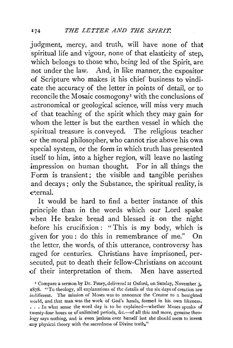judgment, mercy, and truth, will have none of that spiritual life and vigour, none of that elasticity of step, which belongs to those who, being led of the Spirit, are not under the law. And, in like manner, the expositor of Scripture who makes it his chief business to vindicate the accuracy of the letter in points of detail, or to reconcile the Mosaic cosmogony<sup>1</sup> with the conclusions of .astronomical or geological science, will miss very much {)f that teaching of the spirit which they may gain for whom the letter is but the earthen vessel in which the spiritual treasure is conveyed. The religious teacher or the moral philosopher, who cannot rise above his own special system, or the form in which truth has presented itself to him, into a higher region, will leave no lasting impression on human thought. For in all things the Form is transient; the visible and tangible perishes and decays; only the Substance, the spiritual reality, is e~ernal.

It would be hard to find a better instance of this principle than in the words which our Lord spake when He brake bread and blessed it on the night before his crucifixion : "This is my body, which is \_given for you : do this in remembrance of me." On the letter, the words, of this utterance, controversy has raged for centuries. Christians have imprisoned, persecuted, put to death their fellow-Christians on account of their interpretation of them. Men have asserted

<sup>&</sup>lt;sup>1</sup> Compare a sermon by Dr. Pusey, delivered at Oxford, on Sunday, November 3, 1878. "To theology, all explanations of the details of the six days of creation are .indifferent. The mission of Moses was to announce the Creator to a benighted world, and that man was the work of God's hands, formed in his own likeness. ... In what sense the word day is to be explained--whether Moses speaks of twenty-four hours or of unlimited periods, &c.-of all this and more, genuine theo-.logy says nothing, and is even jealous over herself lest she should seem to invest any physical theory with the sacredness of Divine truth."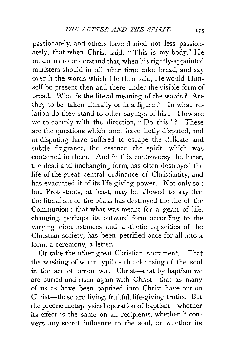passionately, and others have denied not less passionately, that when Christ said, "This is my body," He meant us to understand that, when his rightly-appointed ministers should in all after time take bread, and say over it the words which He then said, He would Himself be present then and there under the visible form of bread. What is the literal meaning of the words ? Are they to be taken literally or in a figure? In what relation do they stand to other sayings of his? How are we to comply with the direction, "Do this"? These are the questions which men have hotly disputed, and in disputing have suffered to escape the delicate and subtle fragrance, the essence, the spirit, which was contained in them. And in this controversy the letter, the dead and unchanging form, has often destroyed the life of the great central ordinance of Christianity, and has evacuated it of its life-giving power. Not only so: but Protestants, at least, may be allowed to say that the literalism of the Mass has destroyed the life of the Communion ; that what was meant for a germ of life, changing, perhaps, its outward form according to the varying circumstances and æsthetic capacities of the Christian society, has been petrified once for all into a form, a ceremony, a letter.

Or take the other great Christian sacrament. That the washing of water typifies the cleansing of the soul in the act of union with Christ-that by baptism we are buried and risen again with Christ-that as many of us as have been baptized into Christ have put on Christ-these are living, fruitful, life-giving truths. But the precise metaphysical operation of baptism-whether its effect is the same on all recipients, whether it conveys any secret influence to. the soul, or whether its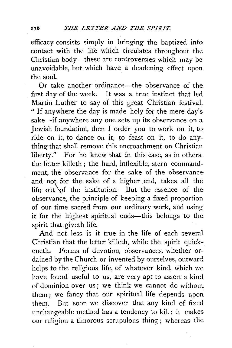efficacy consists simply in bringing the baptized into contact with the life which circulates throughout the Christian body—these are controversies which may be unavoidable, but which have a deadening effect upon the soul.

Or take another ordinance-the observance of the first day of the week. It was a true instinct that led Martin Luther to say of this great Christian festival. " If anywhere the day is made holy for the mere day's sake-if anywhere any one sets up its observance on a Jewish foundation, then I order you to work on it, to ride on it, to dance on it, to feast on it, to do anything that shall remove this encroachment on Christian liberty." For he knew that in this case, as in others, the letter killeth ; the hard, inflexible, stern commandment, the observance for the sake of the observance and not for the sake of a higher end, -takes all the life out of the institution. But the essence of the observance, the principle of keeping a fixed proportion of our time sacred from our ordinary work, and using it for the highest spiritual ends-this belongs to the spirit that giveth life.

And not less is it true in the life of each several Christian that the letter killeth, while the spirit quickeneth. Forms of devotion, observances, whether ordained by the Church or invented by ourselves, outward. helps to the religious life, of whatever kind, which we have found useful to us, are very apt to assert a kind of dominion over us ; we think we cannot do without them; we fancy that our spiritual life depends upon them. But soon we discover that any kind of fixed unchangeable method has a tendency to kill; it makes our religion a timorous scrupulous thing; whereas the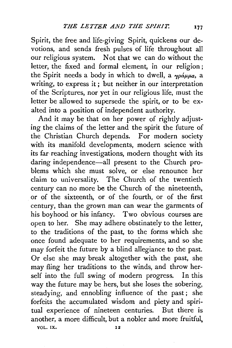Spirit, the free and life-giving Spirit, quickens our devotions, and sends fresh pulses of life throughout all our religious system. Not that we can do without the letter, the fixed and formal element, in our religion ; the Spirit needs a body in which to dwell, a  $\gamma \rho \dot{\alpha} \mu \mu a$ , a writing, to express it; but neither in our interpretation of the Scriptures, nor yet in our religious life, must the letter be allowed to supersede the spirit, or to be exalted into a position of independent authority.

And it may be that on her power of rightly adjusting the claims of the letter and the spirit the future of the Christian Church depends. For modern society with its manifold developments, modern science with its far reaching investigations, modern thought with its daring independence-all present to the Church problems which she must solve, or else renounce her claim to universality. The Church of the twentieth century can no more be the Church of the nineteenth, or of the sixteenth, or of the fourth, or of the first century, than the grown man can wear the garments of his boyhood or his infancy. Two obvious courses are open to her. She may adhere obstinately to the letter, to the traditions of the past, to the forms which she once found adequate to her requirements, and so she may forfeit the future by a blind allegiance to the past. Or else she may break altogether with the past, she may fling her traditions to the winds, and throw herself into the full swing of modern progress. In this way the future may be hers, but she loses the sobering, steadying, and ennobling influence of the past; she forfeits the accumulated wisdom and piety and spiritual experience of nineteen centuries. But there is another, a more difficult, but a nobler and more fruitful, VOL. IX. 12